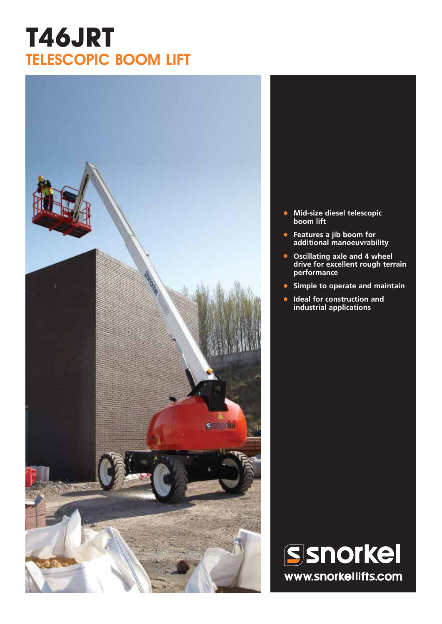# **T46JRT** TELESCOPIC BOOM LIFT



- **• Mid-size diesel telescopic boom lift**
- **• Features a jib boom for additional manoeuvrability**
- **• Oscillating axle and 4 wheel drive for excellent rough terrain performance**
- **• Simple to operate and maintain**
- **• Ideal for construction and industrial applications**